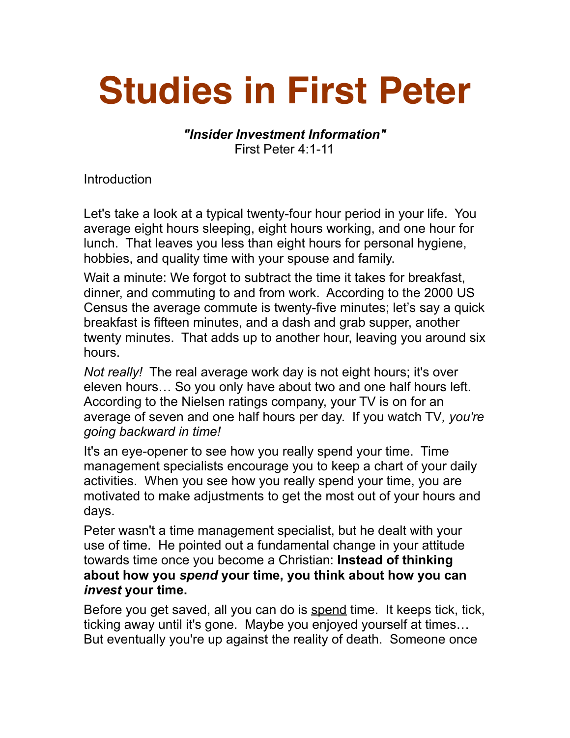## **Studies in First Peter**

*"Insider Investment Information"*  First Peter 4:1-11

Introduction

Let's take a look at a typical twenty-four hour period in your life. You average eight hours sleeping, eight hours working, and one hour for lunch. That leaves you less than eight hours for personal hygiene, hobbies, and quality time with your spouse and family.

Wait a minute: We forgot to subtract the time it takes for breakfast, dinner, and commuting to and from work. According to the 2000 US Census the average commute is twenty-five minutes; let's say a quick breakfast is fifteen minutes, and a dash and grab supper, another twenty minutes. That adds up to another hour, leaving you around six hours.

*Not really!* The real average work day is not eight hours; it's over eleven hours… So you only have about two and one half hours left. According to the Nielsen ratings company, your TV is on for an average of seven and one half hours per day. If you watch TV*, you're going backward in time!* 

It's an eye-opener to see how you really spend your time. Time management specialists encourage you to keep a chart of your daily activities. When you see how you really spend your time, you are motivated to make adjustments to get the most out of your hours and days.

Peter wasn't a time management specialist, but he dealt with your use of time. He pointed out a fundamental change in your attitude towards time once you become a Christian: **Instead of thinking about how you** *spend* **your time, you think about how you can**  *invest* **your time.**

Before you get saved, all you can do is spend time. It keeps tick, tick, ticking away until it's gone. Maybe you enjoyed yourself at times… But eventually you're up against the reality of death. Someone once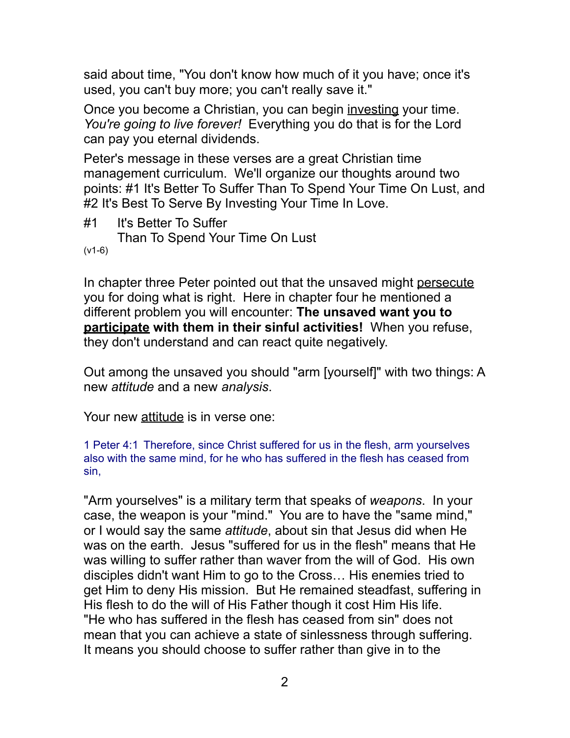said about time, "You don't know how much of it you have; once it's used, you can't buy more; you can't really save it."

Once you become a Christian, you can begin investing your time. *You're going to live forever!* Everything you do that is for the Lord can pay you eternal dividends.

Peter's message in these verses are a great Christian time management curriculum. We'll organize our thoughts around two points: #1 It's Better To Suffer Than To Spend Your Time On Lust, and #2 It's Best To Serve By Investing Your Time In Love.

#1 It's Better To Suffer Than To Spend Your Time On Lust (v1-6)

In chapter three Peter pointed out that the unsaved might persecute you for doing what is right. Here in chapter four he mentioned a different problem you will encounter: **The unsaved want you to participate with them in their sinful activities!** When you refuse, they don't understand and can react quite negatively.

Out among the unsaved you should "arm [yourself]" with two things: A new *attitude* and a new *analysis*.

Your new attitude is in verse one:

1 Peter 4:1 Therefore, since Christ suffered for us in the flesh, arm yourselves also with the same mind, for he who has suffered in the flesh has ceased from sin,

"Arm yourselves" is a military term that speaks of *weapons*. In your case, the weapon is your "mind." You are to have the "same mind," or I would say the same *attitude*, about sin that Jesus did when He was on the earth. Jesus "suffered for us in the flesh" means that He was willing to suffer rather than waver from the will of God. His own disciples didn't want Him to go to the Cross… His enemies tried to get Him to deny His mission. But He remained steadfast, suffering in His flesh to do the will of His Father though it cost Him His life. "He who has suffered in the flesh has ceased from sin" does not mean that you can achieve a state of sinlessness through suffering. It means you should choose to suffer rather than give in to the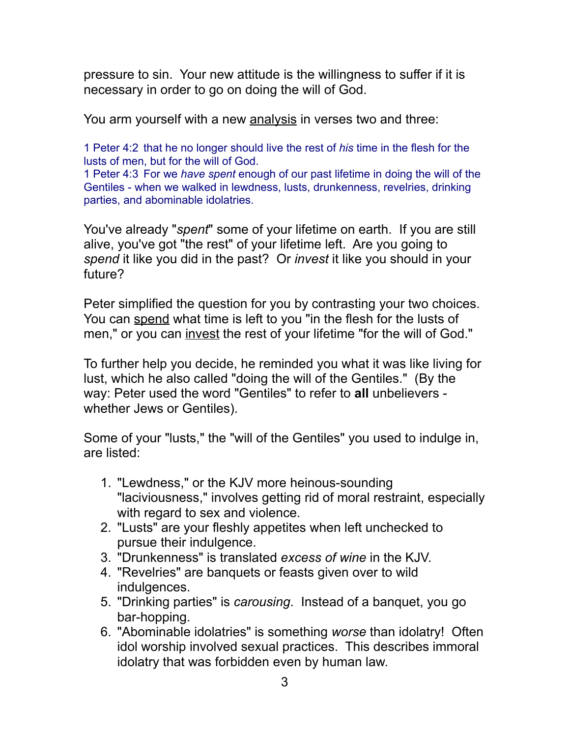pressure to sin. Your new attitude is the willingness to suffer if it is necessary in order to go on doing the will of God.

You arm yourself with a new analysis in verses two and three:

1 Peter 4:2 that he no longer should live the rest of *his* time in the flesh for the lusts of men, but for the will of God.

1 Peter 4:3 For we *have spent* enough of our past lifetime in doing the will of the Gentiles - when we walked in lewdness, lusts, drunkenness, revelries, drinking parties, and abominable idolatries.

You've already "*spent*" some of your lifetime on earth. If you are still alive, you've got "the rest" of your lifetime left. Are you going to *spend* it like you did in the past? Or *invest* it like you should in your future?

Peter simplified the question for you by contrasting your two choices. You can spend what time is left to you "in the flesh for the lusts of men," or you can invest the rest of your lifetime "for the will of God."

To further help you decide, he reminded you what it was like living for lust, which he also called "doing the will of the Gentiles." (By the way: Peter used the word "Gentiles" to refer to **all** unbelievers whether Jews or Gentiles).

Some of your "lusts," the "will of the Gentiles" you used to indulge in, are listed:

- 1. "Lewdness," or the KJV more heinous-sounding "laciviousness," involves getting rid of moral restraint, especially with regard to sex and violence.
- 2. "Lusts" are your fleshly appetites when left unchecked to pursue their indulgence.
- 3. "Drunkenness" is translated *excess of wine* in the KJV.
- 4. "Revelries" are banquets or feasts given over to wild indulgences.
- 5. "Drinking parties" is *carousing*. Instead of a banquet, you go bar-hopping.
- 6. "Abominable idolatries" is something *worse* than idolatry! Often idol worship involved sexual practices. This describes immoral idolatry that was forbidden even by human law.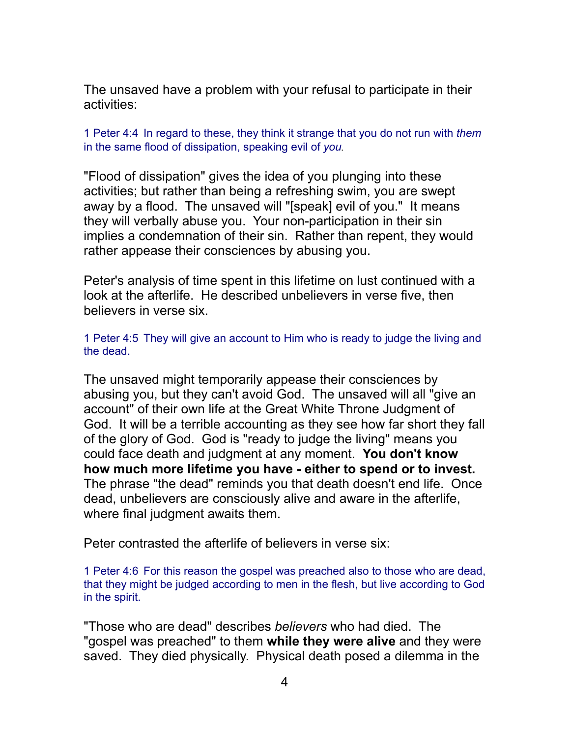The unsaved have a problem with your refusal to participate in their activities:

1 Peter 4:4 In regard to these, they think it strange that you do not run with *them* in the same flood of dissipation, speaking evil of *you.*

"Flood of dissipation" gives the idea of you plunging into these activities; but rather than being a refreshing swim, you are swept away by a flood. The unsaved will "[speak] evil of you." It means they will verbally abuse you. Your non-participation in their sin implies a condemnation of their sin. Rather than repent, they would rather appease their consciences by abusing you.

Peter's analysis of time spent in this lifetime on lust continued with a look at the afterlife. He described unbelievers in verse five, then believers in verse six.

1 Peter 4:5 They will give an account to Him who is ready to judge the living and the dead.

The unsaved might temporarily appease their consciences by abusing you, but they can't avoid God. The unsaved will all "give an account" of their own life at the Great White Throne Judgment of God. It will be a terrible accounting as they see how far short they fall of the glory of God. God is "ready to judge the living" means you could face death and judgment at any moment. **You don't know how much more lifetime you have - either to spend or to invest.** The phrase "the dead" reminds you that death doesn't end life. Once dead, unbelievers are consciously alive and aware in the afterlife, where final judgment awaits them.

Peter contrasted the afterlife of believers in verse six:

1 Peter 4:6 For this reason the gospel was preached also to those who are dead, that they might be judged according to men in the flesh, but live according to God in the spirit.

"Those who are dead" describes *believers* who had died. The "gospel was preached" to them **while they were alive** and they were saved. They died physically. Physical death posed a dilemma in the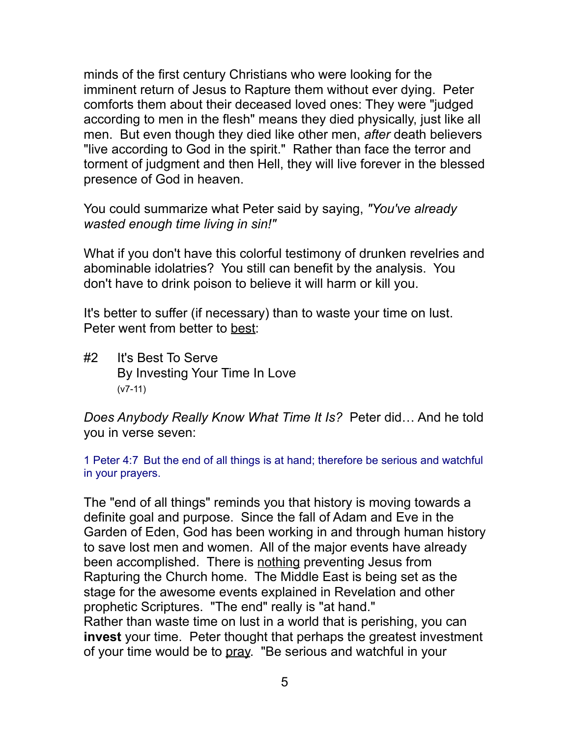minds of the first century Christians who were looking for the imminent return of Jesus to Rapture them without ever dying. Peter comforts them about their deceased loved ones: They were "judged according to men in the flesh" means they died physically, just like all men. But even though they died like other men, *after* death believers "live according to God in the spirit." Rather than face the terror and torment of judgment and then Hell, they will live forever in the blessed presence of God in heaven.

You could summarize what Peter said by saying, *"You've already wasted enough time living in sin!"*

What if you don't have this colorful testimony of drunken revelries and abominable idolatries? You still can benefit by the analysis. You don't have to drink poison to believe it will harm or kill you.

It's better to suffer (if necessary) than to waste your time on lust. Peter went from better to best:

#2 It's Best To Serve By Investing Your Time In Love (v7-11)

*Does Anybody Really Know What Time It Is?* Peter did… And he told you in verse seven:

1 Peter 4:7 But the end of all things is at hand; therefore be serious and watchful in your prayers.

The "end of all things" reminds you that history is moving towards a definite goal and purpose. Since the fall of Adam and Eve in the Garden of Eden, God has been working in and through human history to save lost men and women. All of the major events have already been accomplished. There is nothing preventing Jesus from Rapturing the Church home. The Middle East is being set as the stage for the awesome events explained in Revelation and other prophetic Scriptures. "The end" really is "at hand." Rather than waste time on lust in a world that is perishing, you can **invest** your time. Peter thought that perhaps the greatest investment of your time would be to pray. "Be serious and watchful in your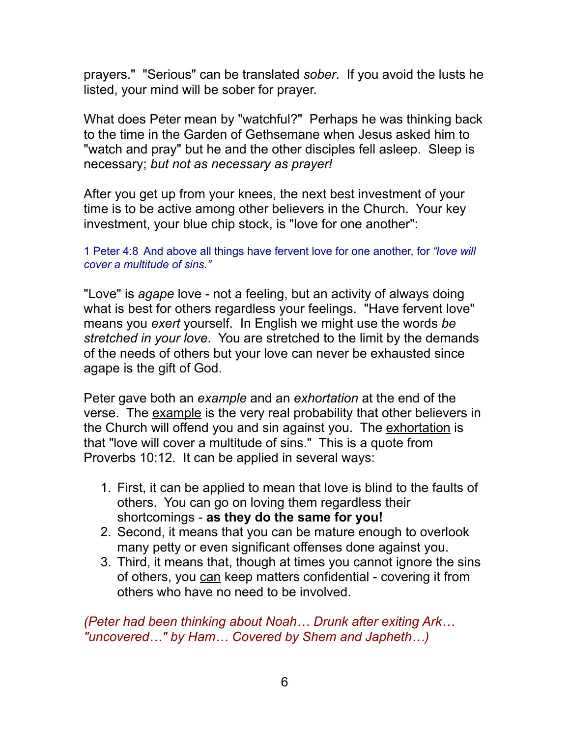prayers." "Serious" can be translated *sober*. If you avoid the lusts he listed, your mind will be sober for prayer.

What does Peter mean by "watchful?" Perhaps he was thinking back to the time in the Garden of Gethsemane when Jesus asked him to "watch and pray" but he and the other disciples fell asleep. Sleep is necessary; *but not as necessary as prayer!*

After you get up from your knees, the next best investment of your time is to be active among other believers in the Church. Your key investment, your blue chip stock, is "love for one another":

1 Peter 4:8 And above all things have fervent love for one another, for *"love will cover a multitude of sins."*

"Love" is *agape* love - not a feeling, but an activity of always doing what is best for others regardless your feelings. "Have fervent love" means you *exert* yourself. In English we might use the words *be stretched in your love*. You are stretched to the limit by the demands of the needs of others but your love can never be exhausted since agape is the gift of God.

Peter gave both an *example* and an *exhortation* at the end of the verse. The example is the very real probability that other believers in the Church will offend you and sin against you. The exhortation is that "love will cover a multitude of sins." This is a quote from Proverbs 10:12. It can be applied in several ways:

- 1. First, it can be applied to mean that love is blind to the faults of others. You can go on loving them regardless their shortcomings - **as they do the same for you!**
- 2. Second, it means that you can be mature enough to overlook many petty or even significant offenses done against you.
- 3. Third, it means that, though at times you cannot ignore the sins of others, you can keep matters confidential - covering it from others who have no need to be involved.

*(Peter had been thinking about Noah… Drunk after exiting Ark… "uncovered…" by Ham… Covered by Shem and Japheth…)*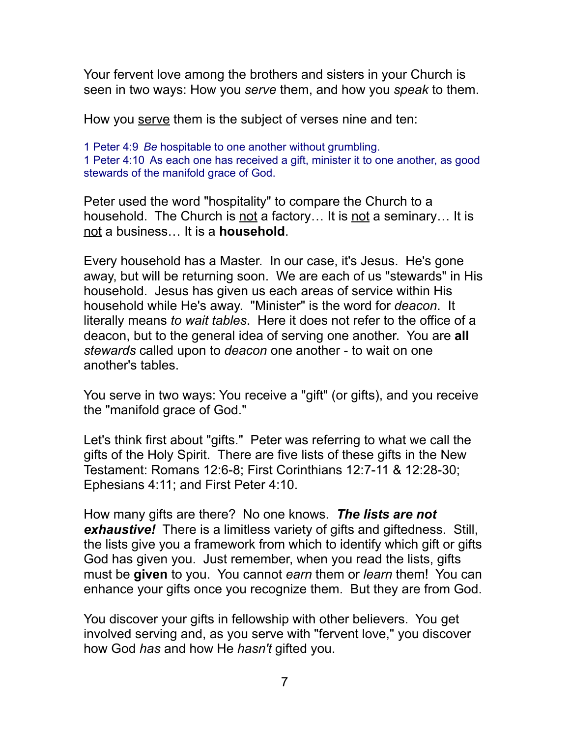Your fervent love among the brothers and sisters in your Church is seen in two ways: How you *serve* them, and how you *speak* to them.

How you serve them is the subject of verses nine and ten:

1 Peter 4:9 *Be* hospitable to one another without grumbling. 1 Peter 4:10 As each one has received a gift, minister it to one another, as good stewards of the manifold grace of God.

Peter used the word "hospitality" to compare the Church to a household. The Church is not a factory... It is not a seminary... It is not a business… It is a **household**.

Every household has a Master. In our case, it's Jesus. He's gone away, but will be returning soon. We are each of us "stewards" in His household. Jesus has given us each areas of service within His household while He's away. "Minister" is the word for *deacon*. It literally means *to wait tables*. Here it does not refer to the office of a deacon, but to the general idea of serving one another. You are **all** *stewards* called upon to *deacon* one another - to wait on one another's tables.

You serve in two ways: You receive a "gift" (or gifts), and you receive the "manifold grace of God."

Let's think first about "gifts." Peter was referring to what we call the gifts of the Holy Spirit. There are five lists of these gifts in the New Testament: Romans 12:6-8; First Corinthians 12:7-11 & 12:28-30; Ephesians 4:11; and First Peter 4:10.

How many gifts are there? No one knows. *The lists are not exhaustive!* There is a limitless variety of gifts and giftedness. Still, the lists give you a framework from which to identify which gift or gifts God has given you. Just remember, when you read the lists, gifts must be **given** to you. You cannot *earn* them or *learn* them! You can enhance your gifts once you recognize them. But they are from God.

You discover your gifts in fellowship with other believers. You get involved serving and, as you serve with "fervent love," you discover how God *has* and how He *hasn't* gifted you.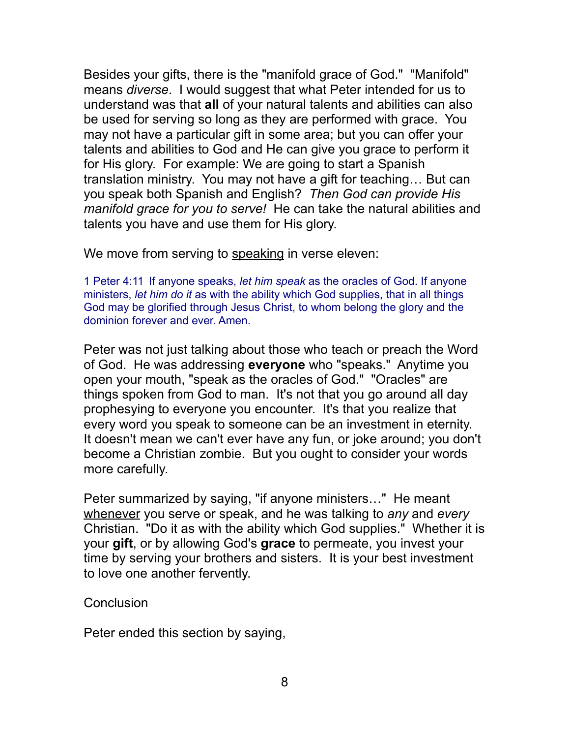Besides your gifts, there is the "manifold grace of God." "Manifold" means *diverse*. I would suggest that what Peter intended for us to understand was that **all** of your natural talents and abilities can also be used for serving so long as they are performed with grace. You may not have a particular gift in some area; but you can offer your talents and abilities to God and He can give you grace to perform it for His glory. For example: We are going to start a Spanish translation ministry. You may not have a gift for teaching… But can you speak both Spanish and English? *Then God can provide His manifold grace for you to serve!* He can take the natural abilities and talents you have and use them for His glory.

We move from serving to speaking in verse eleven:

1 Peter 4:11 If anyone speaks, *let him speak* as the oracles of God. If anyone ministers, *let him do it* as with the ability which God supplies, that in all things God may be glorified through Jesus Christ, to whom belong the glory and the dominion forever and ever. Amen.

Peter was not just talking about those who teach or preach the Word of God. He was addressing **everyone** who "speaks." Anytime you open your mouth, "speak as the oracles of God." "Oracles" are things spoken from God to man. It's not that you go around all day prophesying to everyone you encounter. It's that you realize that every word you speak to someone can be an investment in eternity. It doesn't mean we can't ever have any fun, or joke around; you don't become a Christian zombie. But you ought to consider your words more carefully.

Peter summarized by saying, "if anyone ministers…" He meant whenever you serve or speak, and he was talking to *any* and *every* Christian. "Do it as with the ability which God supplies." Whether it is your **gift**, or by allowing God's **grace** to permeate, you invest your time by serving your brothers and sisters. It is your best investment to love one another fervently.

## **Conclusion**

Peter ended this section by saying,